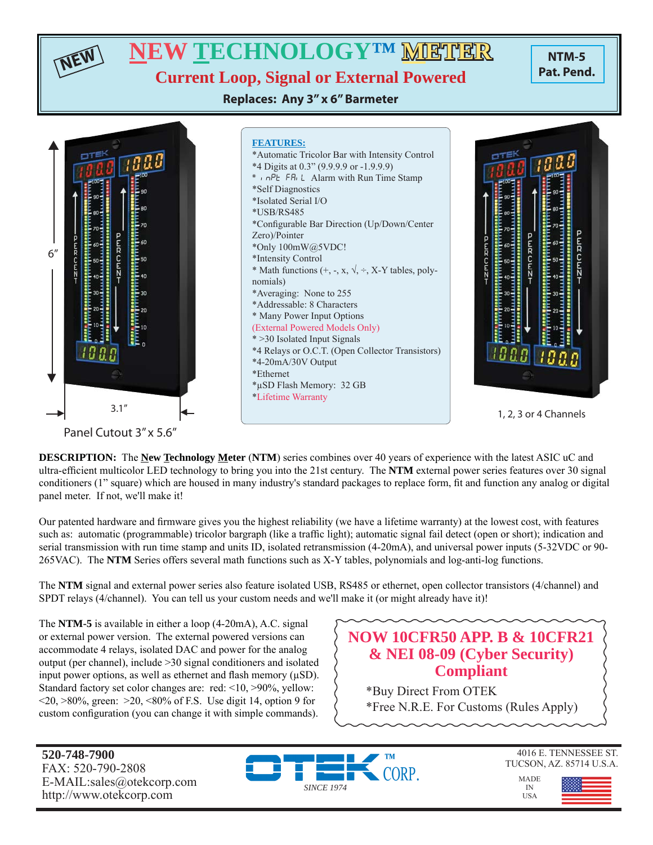**NTM-5 Pat. Pend. NEW TECHNOLOGY™ METHER Current Loop, Signal or External Powered**

**Replaces: Any 3" x 6" Barmeter**



Panel Cutout 3" x 5.6"

**NEW**

**DESCRIPTION:** The **New Technology Meter** (**NTM**) series combines over 40 years of experience with the latest ASIC uC and ultra-efficient multicolor LED technology to bring you into the 21st century. The **NTM** external power series features over 30 signal conditioners (1" square) which are housed in many industry's standard packages to replace form, fi t and function any analog or digital panel meter. If not, we'll make it!

Our patented hardware and firmware gives you the highest reliability (we have a lifetime warranty) at the lowest cost, with features such as: automatic (programmable) tricolor bargraph (like a traffic light); automatic signal fail detect (open or short); indication and serial transmission with run time stamp and units ID, isolated retransmission (4-20mA), and universal power inputs (5-32VDC or 90- 265VAC). The **NTM** Series offers several math functions such as X-Y tables, polynomials and log-anti-log functions.

The **NTM** signal and external power series also feature isolated USB, RS485 or ethernet, open collector transistors (4/channel) and SPDT relays (4/channel). You can tell us your custom needs and we'll make it (or might already have it)!

The **NTM-5** is available in either a loop (4-20mA), A.C. signal or external power version. The external powered versions can accommodate 4 relays, isolated DAC and power for the analog output (per channel), include >30 signal conditioners and isolated input power options, as well as ethernet and flash memory  $(\mu SD)$ . Standard factory set color changes are: red: <10, >90%, yellow:  $\langle 20, \rangle 80\%$ , green:  $\langle 20, \langle 80 \rangle 6$  of F.S. Use digit 14, option 9 for custom configuration (you can change it with simple commands).

# **NOW 10CFR50 APP. B & 10CFR21 & NEI 08-09 (Cyber Security) Compliant**

\*Buy Direct From OTEK \*Free N.R.E. For Customs (Rules Apply)

**520-748-7900** FAX: 520-790-2808 E-MAIL:sales@otekcorp.com http://www.otekcorp.com



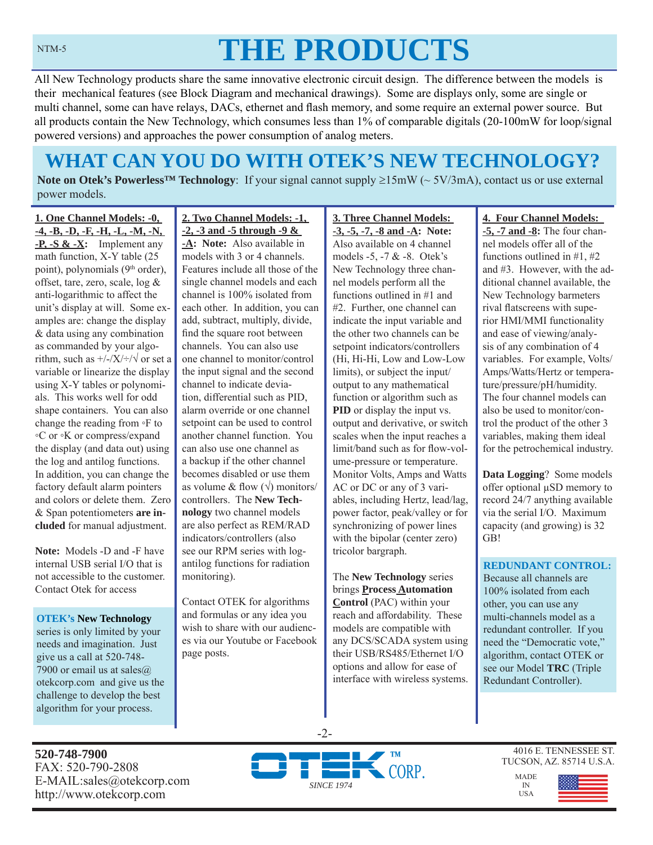#### NTM-5

# **THE PRODUCTS**

All New Technology products share the same innovative electronic circuit design. The difference between the models is their mechanical features (see Block Diagram and mechanical drawings). Some are displays only, some are single or multi channel, some can have relays, DACs, ethernet and flash memory, and some require an external power source. But all products contain the New Technology, which consumes less than 1% of comparable digitals (20-100mW for loop/signal powered versions) and approaches the power consumption of analog meters.

# **WHAT CAN YOU DO WITH OTEK'S NEW TECHNOLOGY?**

**Note on Otek's Powerless<sup>TM</sup> Technology**: If your signal cannot supply  $\geq 15 \text{mW}$  ( $\sim 5V/3 \text{mA}$ ), contact us or use external power models.

**1. One Channel Models: -0, -4, -B, -D, -F, -H, -L, -M, -N, -P, -S & -X:** Implement any math function, X-Y table (25 point), polynomials (9<sup>th</sup> order), offset, tare, zero, scale, log & anti-logarithmic to affect the unit's display at will. Some examples are: change the display & data using any combination as commanded by your algorithm, such as  $\frac{+}{-}\times\frac{+}{\sqrt{}}$  or set a variable or linearize the display using X-Y tables or polynomials. This works well for odd shape containers. You can also change the reading from ◦F to ◦C or ◦K or compress/expand the display (and data out) using the log and antilog functions. In addition, you can change the factory default alarm pointers and colors or delete them. Zero & Span potentiometers **are included** for manual adjustment.

**Note:** Models -D and -F have internal USB serial I/O that is not accessible to the customer. Contact Otek for access

**OTEK's New Technology**  series is only limited by your needs and imagination. Just give us a call at 520-748- 7900 or email us at sales $@$ otekcorp.com and give us the challenge to develop the best algorithm for your process.

**2. Two Channel Models: -1, -2, -3 and -5 through -9 &** 

**-A: Note:** Also available in models with 3 or 4 channels. Features include all those of the single channel models and each channel is 100% isolated from each other. In addition, you can add, subtract, multiply, divide, find the square root between channels. You can also use one channel to monitor/control the input signal and the second channel to indicate deviation, differential such as PID, alarm override or one channel setpoint can be used to control another channel function. You can also use one channel as a backup if the other channel becomes disabled or use them as volume & flow  $(\sqrt{})$  monitors/ controllers. The **New Technology** two channel models are also perfect as REM/RAD indicators/controllers (also see our RPM series with logantilog functions for radiation monitoring).

Contact OTEK for algorithms and formulas or any idea you wish to share with our audiences via our Youtube or Facebook page posts.

**3. Three Channel Models: -3, -5, -7, -8 and -A: Note:**  Also available on 4 channel models -5, -7 & -8. Otek's New Technology three channel models perform all the functions outlined in #1 and #2. Further, one channel can indicate the input variable and the other two channels can be setpoint indicators/controllers (Hi, Hi-Hi, Low and Low-Low limits), or subject the input/ output to any mathematical function or algorithm such as **PID** or display the input vs. output and derivative, or switch scales when the input reaches a limit/band such as for flow-volume-pressure or temperature. Monitor Volts, Amps and Watts AC or DC or any of 3 variables, including Hertz, lead/lag, power factor, peak/valley or for synchronizing of power lines with the bipolar (center zero) tricolor bargraph.

The **New Technology** series brings **Process Automation Control** (PAC) within your reach and affordability. These models are compatible with any DCS/SCADA system using their USB/RS485/Ethernet I/O options and allow for ease of interface with wireless systems.

#### **4. Four Channel Models:**

**-5, -7 and -8:** The four channel models offer all of the functions outlined in #1, #2 and #3. However, with the additional channel available, the New Technology barmeters rival flatscreens with superior HMI/MMI functionality and ease of viewing/analysis of any combination of 4 variables. For example, Volts/ Amps/Watts/Hertz or temperature/pressure/pH/humidity. The four channel models can also be used to monitor/control the product of the other 3 variables, making them ideal for the petrochemical industry.

**Data Logging**? Some models offer optional μSD memory to record 24/7 anything available via the serial I/O. Maximum capacity (and growing) is 32 GB!

#### **REDUNDANT CONTROL:**

Because all channels are 100% isolated from each other, you can use any multi-channels model as a redundant controller. If you need the "Democratic vote," algorithm, contact OTEK or see our Model **TRC** (Triple Redundant Controller).

**520-748-7900** FAX: 520-790-2808 E-MAIL:sales@otekcorp.com http://www.otekcorp.com



-2-

4016 E. TENNESSEE ST. TUCSON, AZ. 85714 U.S.A.

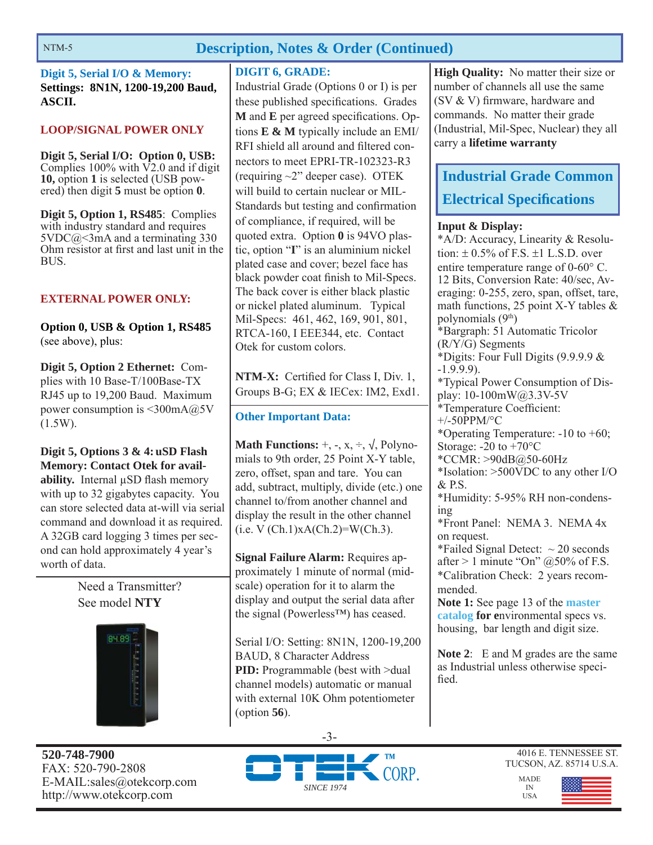# **Description, Notes & Order (Continued)**

**Digit 5, Serial I/O & Memory: Settings: 8N1N, 1200-19,200 Baud, ASCII.**

#### **LOOP/SIGNAL POWER ONLY**

**Digit 5, Serial I/O: Option 0, USB:**  Complies  $100\%$  with  $\overline{V2.0}$  and if digit **10,** option **1** is selected (USB powered) then digit **5** must be option **0**.

**Digit 5, Option 1, RS485**: Complies with industry standard and requires 5VDC@<3mA and a terminating 330 Ohm resistor at first and last unit in the BUS.

#### **EXTERNAL POWER ONLY:**

**Option 0, USB & Option 1, RS485**  (see above), plus:

**Digit 5, Option 2 Ethernet:** Complies with 10 Base-T/100Base-TX RJ45 up to 19,200 Baud. Maximum power consumption is <300mA@5V (1.5W).

**Digit 5, Options 3 & 4: uSD Flash Memory: Contact Otek for availability.** Internal μSD flash memory with up to 32 gigabytes capacity. You can store selected data at-will via serial command and download it as required. A 32GB card logging 3 times per second can hold approximately 4 year's worth of data.

> Need a Transmitter? See model **NTY**



**520-748-7900** FAX: 520-790-2808 E-MAIL:sales@otekcorp.com http://www.otekcorp.com

#### **DIGIT 6, GRADE:**

Industrial Grade (Options 0 or I) is per these published specifications. Grades **M** and **E** per agreed specifications. Options **E & M** typically include an EMI/ RFI shield all around and filtered connectors to meet EPRI-TR-102323-R3 (requiring ~2" deeper case). OTEK will build to certain nuclear or MIL-Standards but testing and confirmation of compliance, if required, will be quoted extra. Option **0** is 94VO plastic, option "**I**" is an aluminium nickel plated case and cover; bezel face has black powder coat finish to Mil-Specs. The back cover is either black plastic or nickel plated aluminum. Typical Mil-Specs: 461, 462, 169, 901, 801, RTCA-160, I EEE344, etc. Contact Otek for custom colors.

**NTM-X:** Certified for Class I, Div. 1, Groups B-G; EX & IECex: IM2, Exd1.

#### **Other Important Data:**

**Math Functions:**  $+$ ,  $-$ ,  $x$ ,  $\div$ ,  $\sqrt{}$ , Polynomials to 9th order, 25 Point X-Y table, zero, offset, span and tare. You can add, subtract, multiply, divide (etc.) one channel to/from another channel and display the result in the other channel  $(i.e. V (Ch.1)xA(Ch.2)=W(Ch.3).$ 

**Signal Failure Alarm:** Requires approximately 1 minute of normal (midscale) operation for it to alarm the display and output the serial data after the signal (Powerless™) has ceased.

Serial I/O: Setting: 8N1N, 1200-19,200 BAUD, 8 Character Address **PID:** Programmable (best with >dual channel models) automatic or manual with external 10K Ohm potentiometer (option **56**).

**High Quality:** No matter their size or number of channels all use the same (SV  $&$  V) firmware, hardware and commands. No matter their grade (Industrial, Mil-Spec, Nuclear) they all carry a **lifetime warranty**

# **Industrial Grade Common Electrical Specifications**

#### **Input & Display:**

\*A/D: Accuracy, Linearity & Resolution:  $\pm$  0.5% of F.S.  $\pm$ 1 L.S.D. over entire temperature range of  $0\n-60^{\circ}$  C. 12 Bits, Conversion Rate: 40/sec, Averaging: 0-255, zero, span, offset, tare, math functions, 25 point X-Y tables & polynomials  $(9<sup>th</sup>)$ \*Bargraph: 51 Automatic Tricolor (R/Y/G) Segments \*Digits: Four Full Digits (9.9.9.9 & -1.9.9.9). \*Typical Power Consumption of Display: 10-100mW@3.3V-5V \*Temperature Coefficient: +/-50PPM/°C \*Operating Temperature: -10 to +60; Storage:  $-20$  to  $+70^{\circ}$ C \*CCMR: >90dB@50-60Hz \*Isolation: >500VDC to any other I/O & P.S. \*Humidity: 5-95% RH non-condensing \*Front Panel: NEMA 3. NEMA 4x on request. \*Failed Signal Detect:  $\sim$  20 seconds after  $> 1$  minute "On" @50% of F.S. \*Calibration Check: 2 years recommended. **Note 1:** See page 13 of the **master catalog for e**nvironmental specs vs. housing, bar length and digit size.

**Note 2**: E and M grades are the same as Industrial unless otherwise specified.







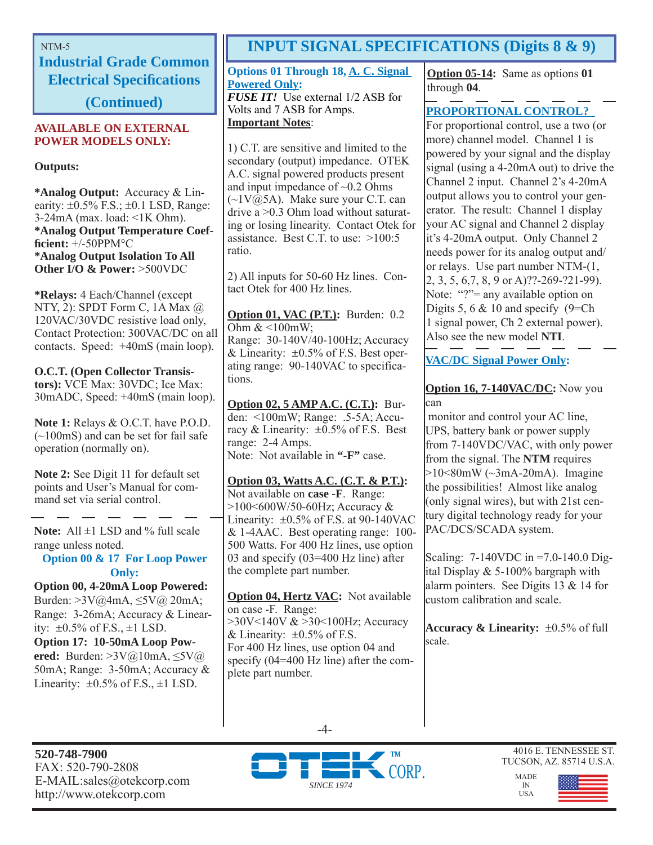**Industrial Grade Common Electrical Specifi cations** 

**(Continued)**

#### **AVAILABLE ON EXTERNAL POWER MODELS ONLY:**

**Outputs:**

**\*Analog Output:** Accuracy & Linearity:  $\pm 0.5\%$  F.S.;  $\pm 0.1$  LSD, Range: 3-24mA (max. load: <1K Ohm). **\*Analog Output Temperature Coeffi cient:** +/-50PPM°C **\*Analog Output Isolation To All Other I/O & Power:** >500VDC

**\*Relays:** 4 Each/Channel (except NTY, 2): SPDT Form C, 1A Max @ 120VAC/30VDC resistive load only, Contact Protection: 300VAC/DC on all contacts. Speed: +40mS (main loop).

**O.C.T. (Open Collector Transistors):** VCE Max: 30VDC; Ice Max: 30mADC, Speed: +40mS (main loop).

**Note 1:** Relays & O.C.T. have P.O.D.  $(-100$ mS) and can be set for fail safe operation (normally on).

**Note 2:** See Digit 11 for default set points and User's Manual for command set via serial control.

Note: All  $\pm$ 1 LSD and % full scale range unless noted.

**Option 00 & 17 For Loop Power Only:**

**Option 00, 4-20mA Loop Powered:**  Burden: >3V@4mA, ≤5V@ 20mA; Range: 3-26mA; Accuracy & Linearity:  $\pm 0.5\%$  of F.S.,  $\pm 1$  LSD. **Option 17: 10-50mA Loop Powered:** Burden: >3V@10mA, ≤5V@ 50mA; Range: 3-50mA; Accuracy & Linearity:  $\pm 0.5\%$  of F.S.,  $\pm 1$  LSD.

# NTM-5 **INPUT SIGNAL SPECIFICATIONS (Digits 8 & 9)**

**Options 01 Through 18, A. C. Signal Powered Only:** *FUSE IT!* Use external 1/2 ASB for Volts and 7 ASB for Amps.

#### **Important Notes**:

1) C.T. are sensitive and limited to the secondary (output) impedance. OTEK A.C. signal powered products present and input impedance of  $\sim 0.2$  Ohms  $(\sim 1 \text{V}(\bar{\omega})$ 5A). Make sure your C.T. can drive a >0.3 Ohm load without saturating or losing linearity. Contact Otek for assistance. Best C.T. to use: >100:5 ratio.

2) All inputs for 50-60 Hz lines. Contact Otek for 400 Hz lines.

**Option 01, VAC (P.T.):** Burden: 0.2 Ohm & <100mW; Range: 30-140V/40-100Hz; Accuracy & Linearity:  $\pm 0.5\%$  of F.S. Best operating range: 90-140VAC to specifications.

**Option 02, 5 AMP A.C. (C.T.):** Burden: <100mW; Range: .5-5A; Accuracy & Linearity:  $\pm 0.5\%$  of F.S. Best range: 2-4 Amps. Note: Not available in **"-F"** case.

**Option 03, Watts A.C. (C.T. & P.T.):** Not available on **case -F**. Range: >100<600W/50-60Hz; Accuracy & Linearity:  $\pm 0.5\%$  of F.S. at 90-140VAC & 1-4AAC. Best operating range: 100- 500 Watts. For 400 Hz lines, use option 03 and specify (03=400 Hz line) after the complete part number.

**Option 04, Hertz VAC:** Not available on case -F. Range: >30V<140V & >30<100Hz; Accuracy & Linearity:  $\pm 0.5\%$  of F.S. For 400 Hz lines, use option 04 and specify (04=400 Hz line) after the complete part number.

**Option 05-14:** Same as options **01** through **04**.

### **PROPORTIONAL CONTROL?**

For proportional control, use a two (or more) channel model. Channel 1 is powered by your signal and the display signal (using a 4-20mA out) to drive the Channel 2 input. Channel 2's 4-20mA output allows you to control your generator. The result: Channel 1 display your AC signal and Channel 2 display it's 4-20mA output. Only Channel 2 needs power for its analog output and/ or relays. Use part number NTM-(1, 2, 3, 5, 6,7, 8, 9 or A)??-269-?21-99). Note: "?"= any available option on Digits 5, 6 & 10 and specify (9=Ch) 1 signal power, Ch 2 external power). Also see the new model **NTI**.

**VAC/DC Signal Power Only:**

#### **Option 16, 7-140VAC/DC:** Now you can

 monitor and control your AC line, UPS, battery bank or power supply from 7-140VDC/VAC, with only power from the signal. The **NTM** requires  $>10<80$ mW ( $\sim$ 3mA-20mA). Imagine the possibilities! Almost like analog (only signal wires), but with 21st century digital technology ready for your PAC/DCS/SCADA system.

Scaling: 7-140VDC in =7.0-140.0 Digital Display & 5-100% bargraph with alarm pointers. See Digits 13 & 14 for custom calibration and scale.

**Accuracy & Linearity:**  $\pm 0.5\%$  of full scale.

**520-748-7900** FAX: 520-790-2808 E-MAIL:sales@otekcorp.com http://www.otekcorp.com



-4-

4016 E. TENNESSEE ST. TUCSON, AZ. 85714 U.S.A.

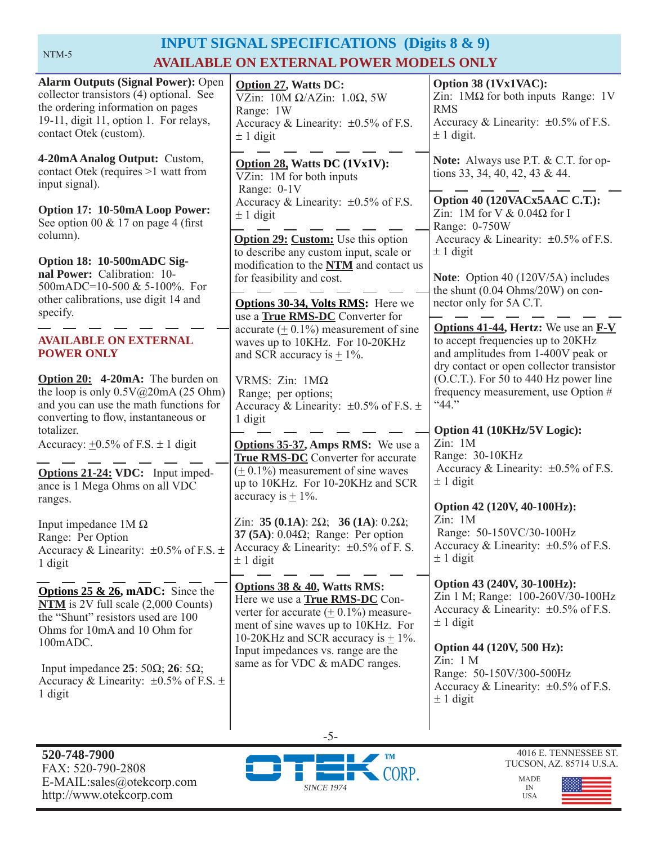# **INPUT SIGNAL SPECIFICATIONS (Digits 8 & 9) AVAILABLE ON EXTERNAL POWER MODELS ONLY**

| <b>Alarm Outputs (Signal Power): Open</b><br>collector transistors (4) optional. See<br>the ordering information on pages<br>19-11, digit 11, option 1. For relays,<br>contact Otek (custom). | <b>Option 27, Watts DC:</b><br>VZin: $10M \Omega/AZ$ in: $1.0\Omega$ , 5W<br>Range: 1W<br>Accuracy & Linearity: $\pm 0.5\%$ of F.S.<br>$\pm$ 1 digit                                             | Option 38 (1Vx1VAC):<br>Zin: $1\text{M}\Omega$ for both inputs Range: 1V<br><b>RMS</b><br>Accuracy & Linearity: $\pm 0.5\%$ of F.S.<br>$\pm$ 1 digit.                    |
|-----------------------------------------------------------------------------------------------------------------------------------------------------------------------------------------------|--------------------------------------------------------------------------------------------------------------------------------------------------------------------------------------------------|--------------------------------------------------------------------------------------------------------------------------------------------------------------------------|
| 4-20mA Analog Output: Custom,<br>contact Otek (requires >1 watt from<br>input signal).                                                                                                        | Option 28, Watts DC (1Vx1V):<br>VZin: 1M for both inputs<br>Range: 0-1V                                                                                                                          | <b>Note:</b> Always use P.T. & C.T. for op-<br>tions 33, 34, 40, 42, 43 & 44.                                                                                            |
| Option 17: 10-50mA Loop Power:<br>See option 00 & 17 on page 4 (first<br>column).                                                                                                             | Accuracy & Linearity: $\pm 0.5\%$ of F.S.<br>$\pm$ 1 digit<br><b>Option 29: Custom:</b> Use this option                                                                                          | Option 40 (120VACx5AAC C.T.):<br>Zin: 1M for V $& 0.04\Omega$ for I<br>Range: 0-750W<br>Accuracy & Linearity: $\pm 0.5\%$ of F.S.                                        |
| Option 18: 10-500mADC Sig-<br>nal Power: Calibration: 10-<br>500mADC=10-500 & 5-100%. For<br>other calibrations, use digit 14 and<br>specify.                                                 | to describe any custom input, scale or<br>modification to the NTM and contact us<br>for feasibility and cost.<br>Options 30-34, Volts RMS: Here we<br>use a <b>True RMS-DC</b> Converter for     | $\pm$ 1 digit<br>Note: Option 40 (120V/5A) includes<br>the shunt $(0.04 \text{ Ohms}/20W)$ on con-<br>nector only for 5A C.T.                                            |
| <b>AVAILABLE ON EXTERNAL</b><br><b>POWER ONLY</b>                                                                                                                                             | accurate $(± 0.1\%)$ measurement of sine<br>waves up to 10KHz. For 10-20KHz<br>and SCR accuracy is $\pm$ 1%.                                                                                     | <b>Options 41-44, Hertz:</b> We use an <b>F-V</b><br>to accept frequencies up to 20KHz<br>and amplitudes from 1-400V peak or<br>dry contact or open collector transistor |
| Option 20: 4-20mA: The burden on<br>the loop is only $0.5V@20mA(25 Ohm)$<br>and you can use the math functions for<br>converting to flow, instantaneous or                                    | VRMS: $Zin$ : $1M\Omega$<br>Range; per options;<br>Accuracy & Linearity: $\pm 0.5\%$ of F.S. $\pm$<br>1 digit                                                                                    | (O.C.T.). For 50 to 440 Hz power line<br>frequency measurement, use Option #<br>"44."                                                                                    |
| totalizer.<br>Accuracy: $\pm 0.5\%$ of F.S. $\pm 1$ digit                                                                                                                                     | <b>Options 35-37, Amps RMS:</b> We use a<br><b>True RMS-DC</b> Converter for accurate                                                                                                            | Option 41 (10KHz/5V Logic):<br>Zin: 1M<br>Range: 30-10KHz                                                                                                                |
| Options 21-24: VDC: Input imped-<br>ance is 1 Mega Ohms on all VDC<br>ranges.                                                                                                                 | $(± 0.1%)$ measurement of sine waves<br>up to 10KHz. For 10-20KHz and SCR<br>accuracy is $\pm$ 1%.                                                                                               | Accuracy & Linearity: $\pm 0.5\%$ of F.S.<br>$\pm$ 1 digit                                                                                                               |
| Input impedance $1M\Omega$<br>Range: Per Option<br>Accuracy & Linearity: $\pm 0.5\%$ of F.S. $\pm$<br>1 digit                                                                                 | Zin: 35 (0.1A): $2\Omega$ ; 36 (1A): 0.2 $\Omega$ ;<br>37 (5A): $0.04\Omega$ ; Range: Per option<br>Accuracy & Linearity: $\pm 0.5\%$ of F. S.<br>$\pm$ 1 digit                                  | Option 42 (120V, 40-100Hz):<br>Zin: 1M<br>Range: 50-150VC/30-100Hz<br>Accuracy & Linearity: $\pm 0.5\%$ of F.S.<br>$± 1$ digit                                           |
| <b>Options 25 &amp; 26, mADC:</b> Since the<br>$NTM$ is 2V full scale $(2,000$ Counts)<br>the "Shunt" resistors used are 100<br>Ohms for 10mA and 10 Ohm for<br>100mADC.                      | Options 38 & 40, Watts RMS:<br>Here we use a <b>True RMS-DC</b> Con-<br>verter for accurate $(± 0.1%)$ measure-<br>ment of sine waves up to 10KHz. For<br>10-20KHz and SCR accuracy is $\pm$ 1%. | Option 43 (240V, 30-100Hz):<br>Zin 1 M; Range: 100-260V/30-100Hz<br>Accuracy & Linearity: $\pm 0.5\%$ of F.S.<br>$\pm$ 1 digit                                           |
| Input impedance 25: 50 $\Omega$ ; 26: 5 $\Omega$ ;<br>Accuracy & Linearity: $\pm 0.5\%$ of F.S. $\pm$<br>1 digit                                                                              | Input impedances vs. range are the<br>same as for VDC & mADC ranges.                                                                                                                             | Option 44 (120V, 500 Hz):<br>Zin: 1 M<br>Range: 50-150V/300-500Hz<br>Accuracy & Linearity: $\pm 0.5\%$ of F.S.<br>$\pm$ 1 digit                                          |
|                                                                                                                                                                                               | $-5-$                                                                                                                                                                                            |                                                                                                                                                                          |



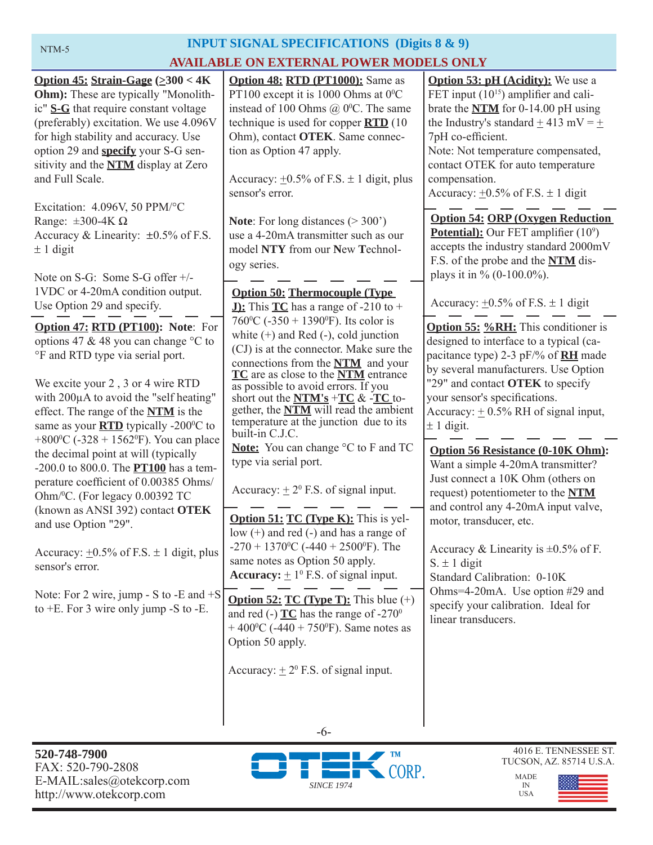# **INPUT SIGNAL SPECIFICATIONS (Digits 8 & 9) AVAILABLE ON EXTERNAL POWER MODELS ONLY**

| Option 45: Strain-Gage $(\geq 300 < 4K)$<br>Ohm): These are typically "Monolith-<br>ic" S-G that require constant voltage<br>(preferably) excitation. We use 4.096V<br>for high stability and accuracy. Use<br>option 29 and <b>specify</b> your S-G sen-<br>sitivity and the <b>NTM</b> display at Zero<br>and Full Scale.<br>Excitation: 4.096V, 50 PPM/°C<br>Range: $\pm 300 - 4K \Omega$ | <b>Option 48: RTD (PT1000):</b> Same as<br>PT100 except it is 1000 Ohms at $0^{\circ}$ C<br>instead of 100 Ohms $\omega$ 0°C. The same<br>technique is used for copper $\overline{RTD}$ (10)<br>Ohm), contact OTEK. Same connec-<br>tion as Option 47 apply.<br>Accuracy: $\pm 0.5\%$ of F.S. $\pm 1$ digit, plus<br>sensor's error.<br><b>Note:</b> For long distances $(>300)$                             | <b>Option 53: pH (Acidity):</b> We use a<br>FET input $(10^{15})$ amplifier and cali-<br>brate the $NTM$ for 0-14.00 pH using<br>the Industry's standard $\pm$ 413 mV = $\pm$<br>7pH co-efficient.<br>Note: Not temperature compensated,<br>contact OTEK for auto temperature<br>compensation.<br>Accuracy: $\pm 0.5\%$ of F.S. $\pm 1$ digit<br><b>Option 54: ORP (Oxygen Reduction)</b> |
|----------------------------------------------------------------------------------------------------------------------------------------------------------------------------------------------------------------------------------------------------------------------------------------------------------------------------------------------------------------------------------------------|--------------------------------------------------------------------------------------------------------------------------------------------------------------------------------------------------------------------------------------------------------------------------------------------------------------------------------------------------------------------------------------------------------------|-------------------------------------------------------------------------------------------------------------------------------------------------------------------------------------------------------------------------------------------------------------------------------------------------------------------------------------------------------------------------------------------|
| Accuracy & Linearity: $\pm 0.5\%$ of F.S.<br>$± 1$ digit<br>Note on S-G: Some S-G offer +/-<br>1VDC or 4-20mA condition output.                                                                                                                                                                                                                                                              | use a 4-20mA transmitter such as our<br>model NTY from our New Technol-<br>ogy series.<br><b>Option 50: Thermocouple (Type)</b>                                                                                                                                                                                                                                                                              | <b>Potential):</b> Our FET amplifier $(10^9)$<br>accepts the industry standard 2000mV<br>F.S. of the probe and the NTM dis-<br>plays it in % $(0-100.0\%)$ .                                                                                                                                                                                                                              |
| Use Option 29 and specify.                                                                                                                                                                                                                                                                                                                                                                   | <b>J):</b> This $TC$ has a range of -210 to +                                                                                                                                                                                                                                                                                                                                                                | Accuracy: $\pm 0.5\%$ of F.S. $\pm$ 1 digit                                                                                                                                                                                                                                                                                                                                               |
| Option 47: RTD (PT100): Note: For<br>options 47 & 48 you can change °C to<br>°F and RTD type via serial port.<br>We excite your 2, 3 or 4 wire RTD<br>with 200µA to avoid the "self heating"<br>effect. The range of the <b>NTM</b> is the<br>same as your <b>RTD</b> typically -200°C to                                                                                                    | 760 °C (-350 + 1390 °F). Its color is<br>white $(+)$ and Red $(-)$ , cold junction<br>(CJ) is at the connector. Make sure the<br>connections from the <b>NTM</b> and your<br>TC are as close to the NTM entrance<br>as possible to avoid errors. If you<br>short out the $NTM's + TC & -TC$ to-<br>gether, the <b>NTM</b> will read the ambient<br>temperature at the junction due to its<br>built-in C.J.C. | <b>Option 55: %RH:</b> This conditioner is<br>designed to interface to a typical (ca-<br>pacitance type) 2-3 pF/% of <b>RH</b> made<br>by several manufacturers. Use Option<br>"29" and contact OTEK to specify<br>your sensor's specifications.<br>Accuracy: $\pm$ 0.5% RH of signal input,<br>$± 1$ digit.                                                                              |
| +800 $\rm{^{\circ}C}$ (-328 + 1562 $\rm{^{\circ}F}$ ). You can place<br>the decimal point at will (typically<br>-200.0 to 800.0. The <b>PT100</b> has a tem-<br>perature coefficient of 0.00385 Ohms/<br>Ohm/ <sup>0</sup> C. (For legacy 0.00392 TC<br>(known as ANSI 392) contact OTEK<br>and use Option "29".<br>Accuracy: $\pm 0.5\%$ of F.S. $\pm$ 1 digit, plus<br>sensor's error.     | Note: You can change °C to F and TC<br>type via serial port.<br>Accuracy: $\pm 2^{\circ}$ F.S. of signal input.<br><b>Option 51: TC (Type K):</b> This is yel-<br>low (+) and red (-) and has a range of<br>-270 + 1370 <sup>o</sup> C (-440 + 2500 <sup>o</sup> F). The<br>same notes as Option 50 apply.<br><b>Accuracy:</b> $+1^0$ F.S. of signal input.                                                  | <b>Option 56 Resistance (0-10K Ohm):</b><br>Want a simple 4-20mA transmitter?<br>Just connect a 10K Ohm (others on<br>request) potentiometer to the NTM<br>and control any 4-20mA input valve,<br>motor, transducer, etc.<br>Accuracy & Linearity is $\pm 0.5\%$ of F.<br>$S_{\cdot} \pm 1$ digit<br>Standard Calibration: 0-10K<br>Ohms=4-20mA. Use option #29 and                       |
| Note: For 2 wire, jump - S to -E and $+S$<br>to $+E$ . For 3 wire only jump -S to -E.                                                                                                                                                                                                                                                                                                        | <b>Option 52: TC (Type T):</b> This blue $(+)$<br>and red (-) $TC$ has the range of -270 <sup>0</sup><br>+ 400 <sup>o</sup> C (-440 + 750 <sup>o</sup> F). Same notes as<br>Option 50 apply.<br>Accuracy: $+2^{\circ}$ F.S. of signal input.                                                                                                                                                                 | specify your calibration. Ideal for<br>linear transducers.                                                                                                                                                                                                                                                                                                                                |



-6-

#### 4016 E. TENNESSEE ST. TUCSON, AZ. 85714 U.S.A.



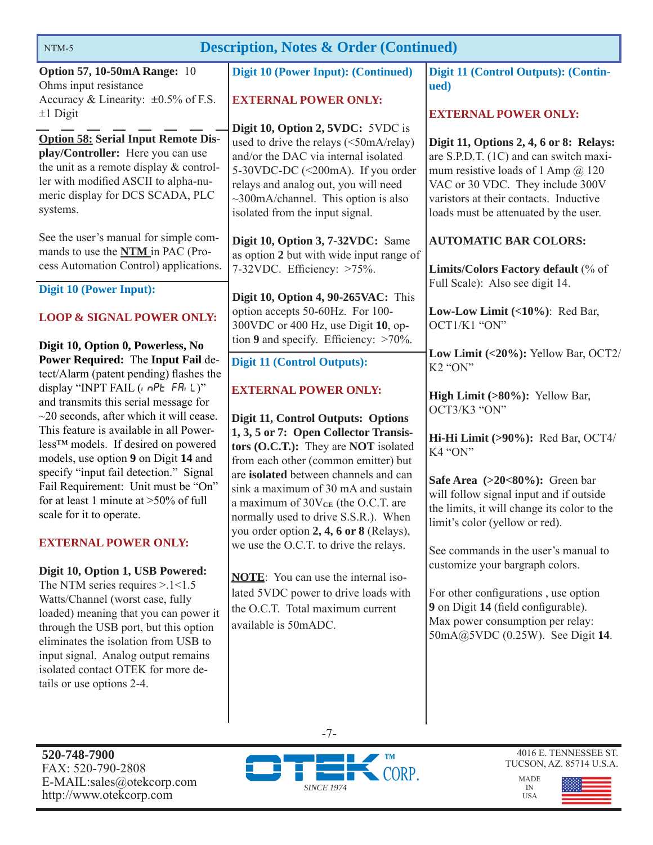| <b>Description, Notes &amp; Order (Continued)</b><br>NTM-5                                                                                                                                                                                                                                                         |                                                                                                                                                                                                                                                                                  |                                                                                                                                                                                                                                                       |  |
|--------------------------------------------------------------------------------------------------------------------------------------------------------------------------------------------------------------------------------------------------------------------------------------------------------------------|----------------------------------------------------------------------------------------------------------------------------------------------------------------------------------------------------------------------------------------------------------------------------------|-------------------------------------------------------------------------------------------------------------------------------------------------------------------------------------------------------------------------------------------------------|--|
| <b>Option 57, 10-50mA Range: 10</b><br>Ohms input resistance<br>Accuracy & Linearity: $\pm 0.5\%$ of F.S.<br>$±1$ Digit                                                                                                                                                                                            | Digit 10 (Power Input): (Continued)<br><b>EXTERNAL POWER ONLY:</b>                                                                                                                                                                                                               | Digit 11 (Control Outputs): (Contin-<br>ued)<br><b>EXTERNAL POWER ONLY:</b>                                                                                                                                                                           |  |
| <b>Option 58: Serial Input Remote Dis-</b><br>play/Controller: Here you can use<br>the unit as a remote display & control-<br>ler with modified ASCII to alpha-nu-<br>meric display for DCS SCADA, PLC<br>systems.                                                                                                 | Digit 10, Option 2, 5VDC: 5VDC is<br>used to drive the relays (<50mA/relay)<br>and/or the DAC via internal isolated<br>5-30VDC-DC (<200mA). If you order<br>relays and analog out, you will need<br>$\sim$ 300mA/channel. This option is also<br>isolated from the input signal. | Digit 11, Options 2, 4, 6 or 8: Relays:<br>are S.P.D.T. (1C) and can switch maxi-<br>mum resistive loads of 1 Amp $\omega$ 120<br>VAC or 30 VDC. They include 300V<br>varistors at their contacts. Inductive<br>loads must be attenuated by the user. |  |
| See the user's manual for simple com-<br>mands to use the <b>NTM</b> in PAC (Pro-<br>cess Automation Control) applications.                                                                                                                                                                                        | Digit 10, Option 3, 7-32VDC: Same<br>as option 2 but with wide input range of<br>7-32VDC. Efficiency: >75%.                                                                                                                                                                      | <b>AUTOMATIC BAR COLORS:</b><br>Limits/Colors Factory default (% of                                                                                                                                                                                   |  |
| <b>Digit 10 (Power Input):</b><br><b>LOOP &amp; SIGNAL POWER ONLY:</b>                                                                                                                                                                                                                                             | Digit 10, Option 4, 90-265VAC: This<br>option accepts 50-60Hz. For 100-<br>300VDC or 400 Hz, use Digit 10, op-<br>tion 9 and specify. Efficiency: $>70\%$ .                                                                                                                      | Full Scale): Also see digit 14.<br>Low-Low Limit $(\langle 10\% \rangle)$ : Red Bar,<br>OCT1/K1 "ON"                                                                                                                                                  |  |
| Digit 10, Option 0, Powerless, No<br>Power Required: The Input Fail de-<br>tect/Alarm (patent pending) flashes the                                                                                                                                                                                                 | <b>Digit 11 (Control Outputs):</b>                                                                                                                                                                                                                                               | Low Limit (<20%): Yellow Bar, OCT2/<br>K <sub>2</sub> "ON"                                                                                                                                                                                            |  |
| display "INPT FAIL ( $n$ oPE FRi L)"<br>and transmits this serial message for<br>$\sim$ 20 seconds, after which it will cease.                                                                                                                                                                                     | <b>EXTERNAL POWER ONLY:</b><br>Digit 11, Control Outputs: Options                                                                                                                                                                                                                | High Limit (>80%): Yellow Bar,<br>OCT3/K3 "ON"                                                                                                                                                                                                        |  |
| This feature is available in all Power-<br>less <sup>TM</sup> models. If desired on powered<br>models, use option 9 on Digit 14 and                                                                                                                                                                                | 1, 3, 5 or 7: Open Collector Transis-<br>tors (O.C.T.): They are NOT isolated<br>from each other (common emitter) but                                                                                                                                                            | Hi-Hi Limit (>90%): Red Bar, OCT4/<br>K4 "ON"                                                                                                                                                                                                         |  |
| specify "input fail detection." Signal<br>Fail Requirement: Unit must be "On"<br>for at least 1 minute at $>50\%$ of full<br>scale for it to operate.                                                                                                                                                              | are isolated between channels and can<br>sink a maximum of 30 mA and sustain<br>a maximum of $30V_{CE}$ (the O.C.T. are<br>normally used to drive S.S.R.). When                                                                                                                  | Safe Area $(>20<80\%)$ : Green bar<br>will follow signal input and if outside<br>the limits, it will change its color to the<br>limit's color (yellow or red).                                                                                        |  |
| <b>EXTERNAL POWER ONLY:</b>                                                                                                                                                                                                                                                                                        | you order option 2, 4, 6 or 8 (Relays),<br>we use the O.C.T. to drive the relays.                                                                                                                                                                                                | See commands in the user's manual to                                                                                                                                                                                                                  |  |
| Digit 10, Option 1, USB Powered:<br>The NTM series requires $> 1 < 1.5$<br>Watts/Channel (worst case, fully<br>loaded) meaning that you can power it<br>through the USB port, but this option<br>eliminates the isolation from USB to<br>input signal. Analog output remains<br>isolated contact OTEK for more de- | <b>NOTE:</b> You can use the internal iso-<br>lated 5VDC power to drive loads with<br>the O.C.T. Total maximum current<br>available is 50mADC.                                                                                                                                   | customize your bargraph colors.<br>For other configurations, use option<br>9 on Digit 14 (field configurable).<br>Max power consumption per relay:<br>50mA@5VDC (0.25W). See Digit 14.                                                                |  |

**520-748-7900** FAX: 520-790-2808 E-MAIL:sales@otekcorp.com http://www.otekcorp.com

tails or use options 2-4.



-7-

4016 E. TENNESSEE ST. TUCSON, AZ. 85714 U.S.A.

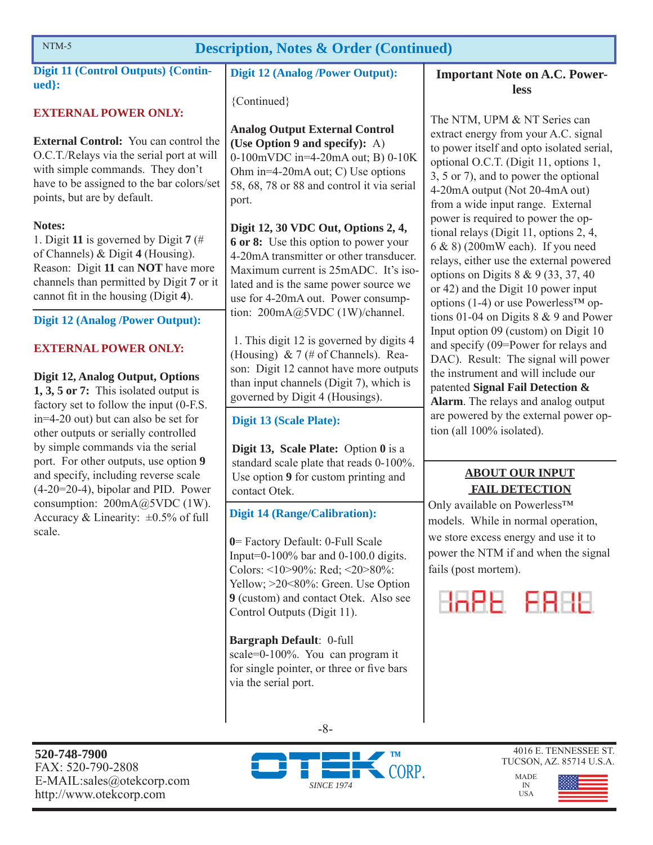# NTM-5 **Description, Notes & Order (Continued)**

**Digit 11 (Control Outputs) {Continued}:** 

#### **EXTERNAL POWER ONLY:**

**External Control:** You can control the O.C.T./Relays via the serial port at will with simple commands. They don't have to be assigned to the bar colors/set points, but are by default.

#### **Notes:**

1. Digit **11** is governed by Digit **7** (# of Channels) & Digit **4** (Housing). Reason: Digit **11** can **NOT** have more channels than permitted by Digit **7** or it cannot fit in the housing (Digit 4).

#### **Digit 12 (Analog /Power Output):**

#### **EXTERNAL POWER ONLY:**

#### **Digit 12, Analog Output, Options**

**1, 3, 5 or 7:** This isolated output is factory set to follow the input (0-F.S. in=4-20 out) but can also be set for other outputs or serially controlled by simple commands via the serial port. For other outputs, use option **9** and specify, including reverse scale (4-20=20-4), bipolar and PID. Power consumption: 200mA@5VDC (1W). Accuracy & Linearity:  $\pm 0.5\%$  of full scale.

**Digit 12 (Analog /Power Output):** 

{Continued}

**Analog Output External Control (Use Option 9 and specify):** A) 0-100mVDC in=4-20mA out; B) 0-10K Ohm in=4-20mA out; C) Use options 58, 68, 78 or 88 and control it via serial port.

**Digit 12, 30 VDC Out, Options 2, 4, 6 or 8:** Use this option to power your 4-20mA transmitter or other transducer. Maximum current is 25mADC. It's isolated and is the same power source we use for 4-20mA out. Power consumption: 200mA@5VDC (1W)/channel.

 1. This digit 12 is governed by digits 4 (Housing)  $& 7 \times 7$  (# of Channels). Reason: Digit 12 cannot have more outputs than input channels (Digit 7), which is governed by Digit 4 (Housings).

#### **Digit 13 (Scale Plate):**

**Digit 13, Scale Plate:** Option **0** is a standard scale plate that reads 0-100%. Use option **9** for custom printing and contact Otek.

**Digit 14 (Range/Calibration):** 

**0**= Factory Default: 0-Full Scale Input=0-100% bar and 0-100.0 digits. Colors: <10>90%: Red; <20>80%: Yellow;  $>20$ <80%: Green. Use Option **9** (custom) and contact Otek. Also see Control Outputs (Digit 11).

**Bargraph Default**: 0-full scale=0-100%. You can program it for single pointer, or three or five bars via the serial port.

**Important Note on A.C. Powerless**

The NTM, UPM & NT Series can extract energy from your A.C. signal to power itself and opto isolated serial, optional O.C.T. (Digit 11, options 1, 3, 5 or 7), and to power the optional 4-20mA output (Not 20-4mA out) from a wide input range. External power is required to power the optional relays (Digit 11, options 2, 4, 6 & 8) (200mW each). If you need relays, either use the external powered options on Digits 8 & 9 (33, 37, 40 or 42) and the Digit 10 power input options (1-4) or use Powerless<sup>TM</sup> options 01-04 on Digits 8 & 9 and Power Input option 09 (custom) on Digit 10 and specify (09=Power for relays and DAC). Result: The signal will power the instrument and will include our patented **Signal Fail Detection & Alarm**. The relays and analog output are powered by the external power option (all 100% isolated).

#### **ABOUT OUR INPUT FAIL DETECTION**

Only available on Powerless™ models. While in normal operation, we store excess energy and use it to power the NTM if and when the signal fails (post mortem).

HAPE FRHE





4016 E. TENNESSEE ST. TUCSON, AZ. 85714 U.S.A.

*SINCE 1974*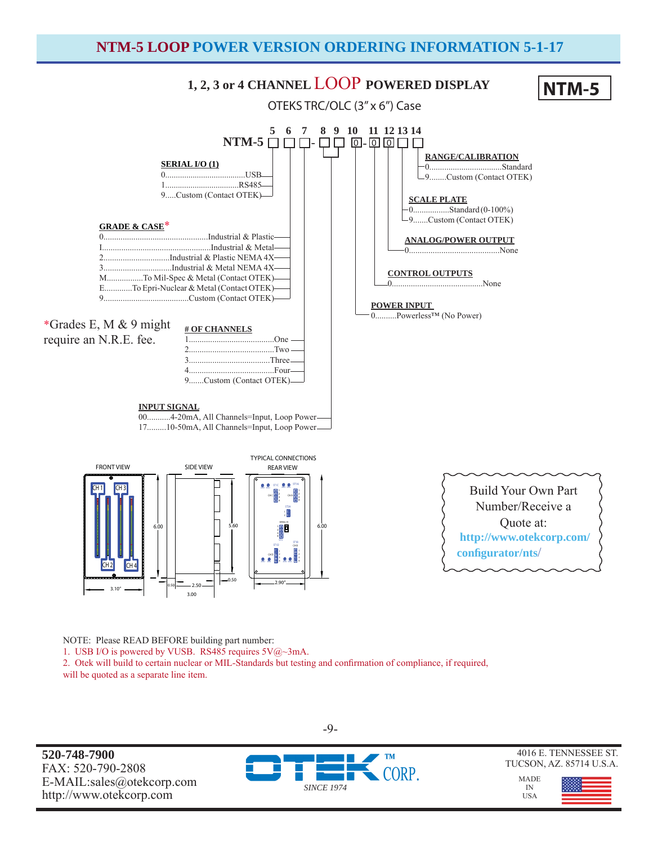#### **NTM-5 LOOP POWER VERSION ORDERING INFORMATION 5-1-17**



NOTE: Please READ BEFORE building part number:

1. USB I/O is powered by VUSB. RS485 requires 5V@~3mA.

2. Otek will build to certain nuclear or MIL-Standards but testing and confirmation of compliance, if required, will be quoted as a separate line item.

**520-748-7900** FAX: 520-790-2808 E-MAIL:sales@otekcorp.com http://www.otekcorp.com



4016 E. TENNESSEE ST. TUCSON, AZ. 85714 U.S.A.

MADE IN USA



-9-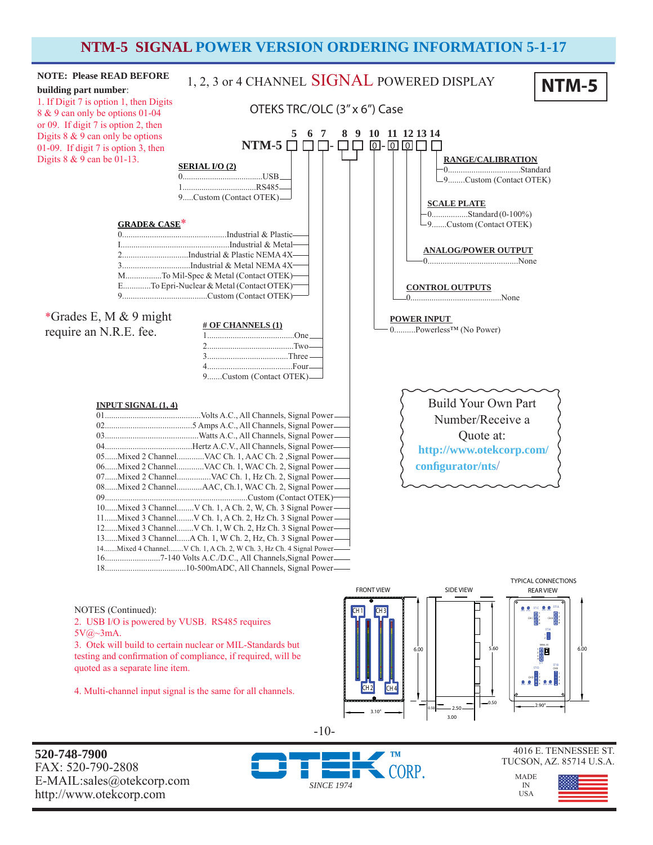#### **NTM-5 SIGNAL POWER VERSION ORDERING INFORMATION 5-1-17**



**520-748-7900** FAX: 520-790-2808 E-MAIL:sales@otekcorp.com http://www.otekcorp.com



-10-

4016 E. TENNESSEE ST. TUCSON, AZ. 85714 U.S.A.

MADE IN USA

3.00

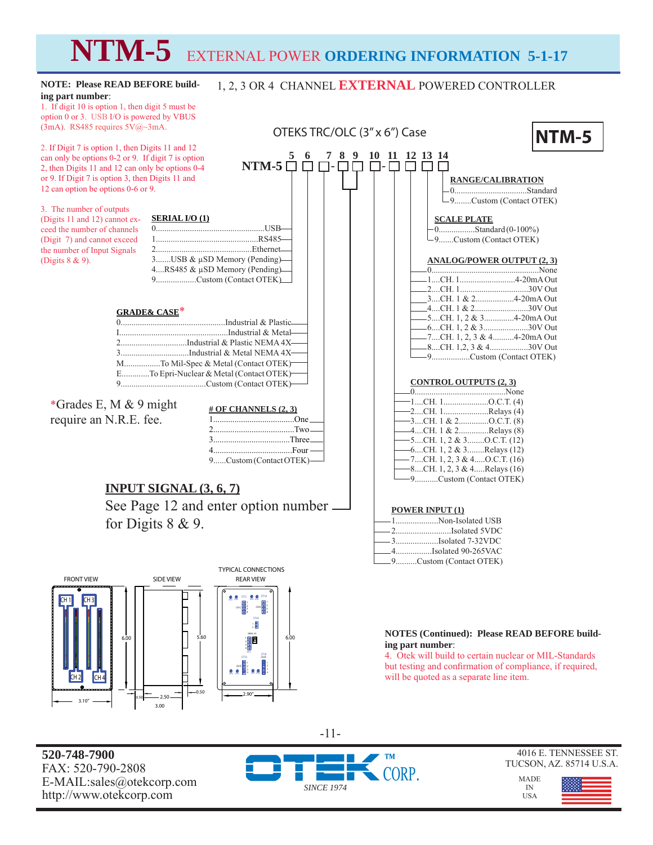# **NTM-5** EXTERNAL POWER **ORDERING INFORMATION 5-1-17**

1, 2, 3 OR 4 CHANNEL **EXTERNAL** POWERED CONTROLLER

#### **NOTE: Please READ BEFORE building part number**:

1. If digit 10 is option 1, then digit 5 must be option 0 or 3. USB I/O is powered by VBUS (3mA). RS485 requires 5V@~3mA.

2. If Digit 7 is option 1, then Digits 11 and 12 can only be options 0-2 or 9. If digit 7 is option 2, then Digits 11 and 12 can only be options 0-4 or 9. If Digit 7 is option 3, then Digits 11 and 12 can option be options 0-6 or 9.

#### 3. The number of outputs

(Digits 11 and 12) cannot exceed the number of channels (Digit 7) and cannot exceed the number of Input Signals (Digits 8 & 9).



E.............To Epri-Nuclear & Metal (Contact OTEK) 9........................................Custom (Contact OTEK)

\*Grades E, M & 9 might require an N.R.E. fee.

| # OF CHANNELS $(2, 3)$  |  |
|-------------------------|--|
|                         |  |
|                         |  |
| $3$ Three $\equiv$      |  |
| $4$ Four $\qquad$       |  |
| 9Custom (Contact OTEK)- |  |

#### **INPUT SIGNAL (3, 6, 7)**

See Page 12 and enter option number for Digits 8 & 9.









-11-

| OTEKS TRC/OLC (3" x 6") Case                                                                                                                                                                                                                                                                                                                                                                                                                                                                                                                    | <b>NTM-5</b> |
|-------------------------------------------------------------------------------------------------------------------------------------------------------------------------------------------------------------------------------------------------------------------------------------------------------------------------------------------------------------------------------------------------------------------------------------------------------------------------------------------------------------------------------------------------|--------------|
| 10 11 12 13 14<br>$5\quad 6$<br>78<br>9<br>$-5$<br>RANGE/CALIBRATION<br>-9Custom (Contact OTEK)<br><b>SCALE PLATE</b><br>$SB-$<br>$-0$ Standard (0-100%)<br>I85-<br>-9Custom (Contact OTEK)<br>net-<br>ng)-<br><b>ANALOG/POWER OUTPUT (2, 3)</b><br>ng)-<br>K).<br>4CH. 1 & 230V Out<br>-5CH. 1, 2 & 34-20mA Out<br>Plastic-<br>-6CH. 1, 2 & 330V Out<br>Metal-<br>-7CH. 1, 2, 3 & 44-20mA Out<br>1A 4X–<br>__8CH. 1,2, 3 & 430V Out<br>$IA 4X-$<br>-9Custom (Contact OTEK)<br>TEK)-<br>TEK)-<br><b>CONTROL OUTPUTS (2, 3)</b><br>TEK)<br>…None | None         |

| —1CH. 1 O.C.T. (4)                          |
|---------------------------------------------|
| $\leftarrow$ 2CH. 1Relays (4)               |
| $-3$ CH. 1 & 2O.C.T. (8)                    |
| $\boxed{\phantom{2}4CH. 1 \& 2}$ Relays (8) |
| $-$ 5CH. 1, 2 & 3O.C.T. (12)                |
| —–6CH. 1, 2 & 3Relays (12)                  |
| — 7CH. 1, 2, 3 & 4O.C.T. (16)               |
| $-8$ CH. 1, 2, 3 & 4Relays (16)             |
| -9Custom (Contact OTEK)                     |

#### **POWER INPUT (1)**

|  | --------------------------Non-Isolated USB |
|--|--------------------------------------------|
|  | -2Isolated 5VDC                            |
|  |                                            |
|  | -4Isolated 90-265VAC                       |
|  | -9Custom (Contact OTEK)                    |

#### **NOTES (Continued): Please READ BEFORE building part number**:

4. Otek will build to certain nuclear or MIL-Standards but testing and confirmation of compliance, if required, will be quoted as a separate line item.



4016 E. TENNESSEE ST.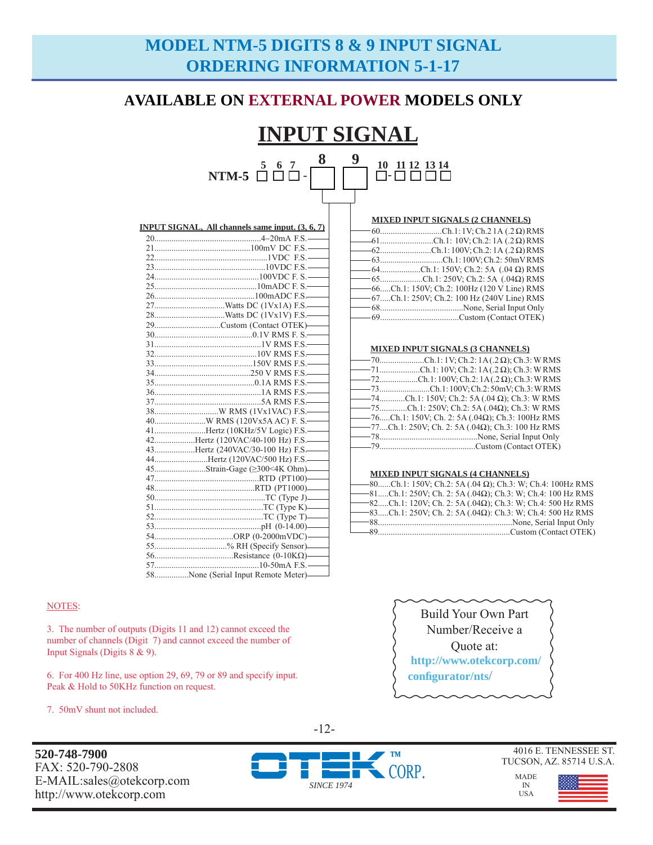# **MODEL NTM-5 DIGITS 8 & 9 INPUT SIGNAL ORDERING INFORMATION 5-1-17**

### **AVAILABLE ON EXTERNAL POWER MODELS ONLY**

#### **INPUT SIGNAL 5 6 7**  NTM-5 □ □ □ -**8 9**  - **10 11 12 13 14**

| MIXED INPUT SIGNALS (2 CHANNELS) |  |
|----------------------------------|--|
|----------------------------------|--|

| <u>MIXID IN THE PIGNIBIO (# CIRRICHIO)</u>     |
|------------------------------------------------|
|                                                |
| $-61$ Ch.1: 10V; Ch.2: 1A (.2 $\Omega$ ) RMS   |
| $-62$ Ch.1:100V; Ch.2:1A (.2 Ω) RMS            |
| -63Ch.1:100V; Ch.2: 50mVRMS                    |
| $-64$ Ch.1: 150V; Ch.2: 5A (.04 $\Omega$ ) RMS |
| $-65$ Ch.1: 250V; Ch.2: 5A (.04 $\Omega$ ) RMS |
| -66Ch.1: 150V; Ch.2: 100Hz (120 V Line) RMS    |
| -67Ch.1: 250V; Ch.2: 100 Hz (240V Line) RMS    |
|                                                |
|                                                |

|--|

| $-$ 70Ch.1:1V; Ch.2: 1A(.2 $\Omega$ ); Ch.3: WRMS             |
|---------------------------------------------------------------|
| $-71$ Ch.1:10V; Ch.2:1A(.2 $\Omega$ ); Ch.3: WRMS             |
| $-$ 72Ch.1:100V; Ch.2:1A(.2 Ω); Ch.3: WRMS                    |
|                                                               |
| $-$ 74Ch.1: 150V; Ch.2: 5A (.04 $\Omega$ ); Ch.3: W RMS       |
| $-$ 75Ch.1: 250V; Ch.2: 5A (.04 $\Omega$ ); Ch.3: W RMS       |
| $-$ 76Ch.1: 150V; Ch. 2: 5A (.04 $\Omega$ ); Ch.3: 100Hz RMS  |
| $-$ 77Ch.1: 250V; Ch. 2: 5A (.04 $\Omega$ ); Ch.3: 100 Hz RMS |
|                                                               |
|                                                               |
|                                                               |

#### **MIXED INPUT SIGNALS (4 CHANNELS)**

| —–80Ch.1: 150V; Ch.2: 5A (.04 Ω); Ch.3: W; Ch.4: 100Hz RMS             |  |  |
|------------------------------------------------------------------------|--|--|
| $-$ 81Ch.1: 250V; Ch. 2: 5A (.04 $\Omega$ ); Ch.3: W; Ch.4: 100 Hz RMS |  |  |
| $-$ 82Ch.1: 120V; Ch. 2: 5A (.04 $\Omega$ ); Ch.3: W; Ch.4: 500 Hz RMS |  |  |
| $-$ 83Ch.1: 250V; Ch. 2: 5A (.04 $\Omega$ ): Ch.3: W; Ch.4: 500 Hz RMS |  |  |
|                                                                        |  |  |
| $-89$                                                                  |  |  |

| <b>Build Your Own Part</b> |
|----------------------------|
| Number/Receive a           |
| Quote at:                  |
| http://www.otekcorp.com/   |
| configurator/nts/          |
|                            |

| 29Custom (Contact OTEK)——           |
|-------------------------------------|
|                                     |
|                                     |
|                                     |
|                                     |
|                                     |
|                                     |
|                                     |
|                                     |
|                                     |
|                                     |
| 41Hertz (10KHz/5V Logic) F.S.       |
| 42Hertz (120VAC/40-100 Hz) F.S.     |
| 43Hertz (240VAC/30-100 Hz) F.S.     |
| 44Hertz (120VAC/500 Hz) F.S.        |
|                                     |
|                                     |
|                                     |
|                                     |
|                                     |
|                                     |
|                                     |
|                                     |
| 55% RH (Specify Sensor)             |
|                                     |
|                                     |
| 58None (Serial Input Remote Meter)— |

#### NOTES:

3. The number of outputs (Digits 11 and 12) cannot exceed the number of channels (Digit 7) and cannot exceed the number of Input Signals (Digits 8 & 9).

6. For 400 Hz line, use option 29, 69, 79 or 89 and specify input. Peak & Hold to 50KHz function on request.

7. 50mV shunt not included.

**520-748-7900** FAX: 520-790-2808 E-MAIL:sales@otekcorp.com http://www.otekcorp.com

-12-



4016 E. TENNESSEE ST. TUCSON, AZ. 85714 U.S.A.